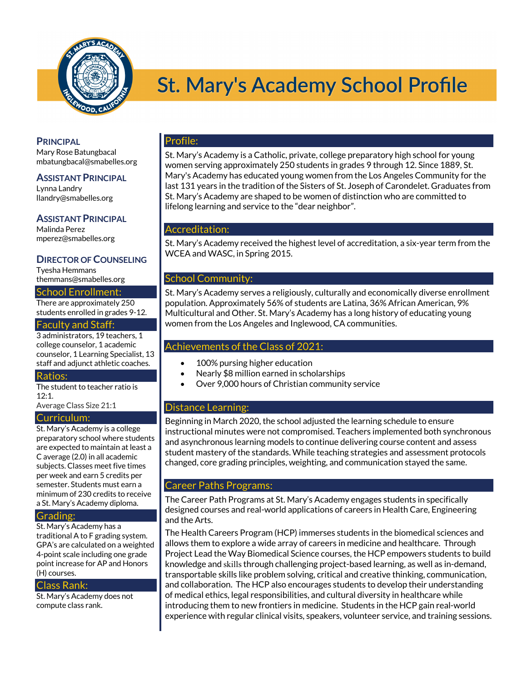

# **St. Mary's Academy School Profile**

# **PRINCIPAL**

Mary Rose Batungbacal mbatungbacal@smabelles.org

# **ASSISTANT PRINCIPAL**

Lynna Landry llandry@smabelles.org

# **ASSISTANT PRINCIPAL**

Malinda Perez mperez@smabelles.org

# **DIRECTOR OF COUNSELING**

Tyesha Hemmans themmans@smabelles.org

# School Enrollment:

There are approximately 250 students enrolled in grades 9-12.

#### Faculty and Staff:

3 administrators, 19 teachers, 1 college counselor, 1 academic counselor, 1 Learning Specialist, 13 staff and adjunct athletic coaches.

#### Ratios:

The student to teacher ratio is 12:1.

Average Class Size 21:1

# Curriculum:

St. Mary's Academy is a college preparatory school where students are expected to maintain at least a C average (2.0) in all academic subjects. Classes meet five times per week and earn 5 credits per semester. Students must earn a minimum of 230 credits to receive a St. Mary's Academy diploma.

#### Grading:

St. Mary's Academy has a traditional A to F grading system. GPA's are calculated on a weighted 4-point scale including one grade point increase for AP and Honors (H) courses.

#### Class Rank:

St. Mary's Academy does not compute class rank.

# Profile:

St. Mary's Academy is a Catholic, private, college preparatory high school for young women serving approximately 250 students in grades 9 through 12. Since 1889, St. Mary's Academy has educated young women from the Los Angeles Community for the last 131 years in the tradition of the Sisters of St. Joseph of Carondelet. Graduates from St. Mary's Academy are shaped to be women of distinction who are committed to lifelong learning and service to the "dear neighbor".

# Accreditation:

St. Mary's Academy received the highest level of accreditation, a six-year term from the WCEA and WASC, in Spring 2015.

# School Community:

St. Mary's Academy serves a religiously, culturally and economically diverse enrollment population. Approximately 56% of students are Latina, 36% African American, 9% Multicultural and Other. St. Mary's Academy has a long history of educating young women from the Los Angeles and Inglewood, CA communities.

# Achievements of the Class of 2021:

- 100% pursing higher education
- Nearly \$8 million earned in scholarships
- Over 9,000 hours of Christian community service

# Distance Learning:

Beginning in March 2020, the school adjusted the learning schedule to ensure instructional minutes were not compromised. Teachers implemented both synchronous and asynchronous learning models to continue delivering course content and assess student mastery of the standards. While teaching strategies and assessment protocols changed, core grading principles, weighting, and communication stayed the same.

# Career Paths Programs:

The Career Path Programs at St. Mary's Academy engages students in specifically designed courses and real-world applications of careers in Health Care, Engineering and the Arts.

The Health Careers Program (HCP) immerses students in the biomedical sciences and allows them to explore a wide array of careers in medicine and healthcare. Through Project Lead the Way Biomedical Science courses, the HCP empowers students to build knowledge and skills through challenging project-based learning, as well as in-demand, transportable skills like problem solving, critical and creative thinking, communication, and collaboration. The HCP also encourages students to develop their understanding of medical ethics, legal responsibilities, and cultural diversity in healthcare while introducing them to new frontiers in medicine. Students in the HCP gain real-world experience with regular clinical visits, speakers, volunteer service, and training sessions.